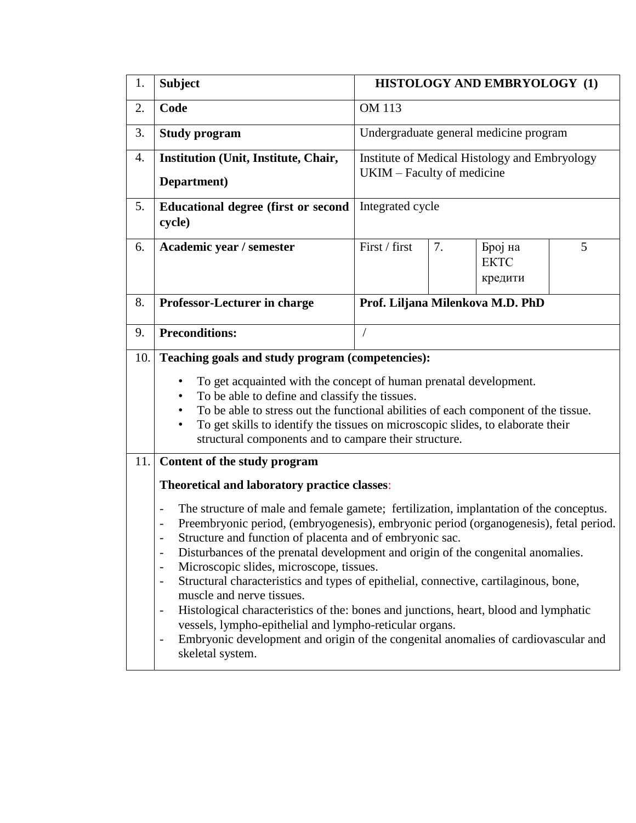| 1.  | <b>Subject</b>                                                                                                                                                                                                                                                                                                                                                                                                                                                                                                                                                                                                                                                                                                                                                                                                                                                                                                                                | HISTOLOGY AND EMBRYOLOGY (1)                                                |    |                                        |   |  |  |
|-----|-----------------------------------------------------------------------------------------------------------------------------------------------------------------------------------------------------------------------------------------------------------------------------------------------------------------------------------------------------------------------------------------------------------------------------------------------------------------------------------------------------------------------------------------------------------------------------------------------------------------------------------------------------------------------------------------------------------------------------------------------------------------------------------------------------------------------------------------------------------------------------------------------------------------------------------------------|-----------------------------------------------------------------------------|----|----------------------------------------|---|--|--|
| 2.  | Code                                                                                                                                                                                                                                                                                                                                                                                                                                                                                                                                                                                                                                                                                                                                                                                                                                                                                                                                          | <b>OM 113</b>                                                               |    |                                        |   |  |  |
| 3.  | <b>Study program</b>                                                                                                                                                                                                                                                                                                                                                                                                                                                                                                                                                                                                                                                                                                                                                                                                                                                                                                                          |                                                                             |    | Undergraduate general medicine program |   |  |  |
| 4.  | Institution (Unit, Institute, Chair,<br>Department)                                                                                                                                                                                                                                                                                                                                                                                                                                                                                                                                                                                                                                                                                                                                                                                                                                                                                           | Institute of Medical Histology and Embryology<br>UKIM – Faculty of medicine |    |                                        |   |  |  |
| 5.  | <b>Educational degree (first or second</b><br>cycle)                                                                                                                                                                                                                                                                                                                                                                                                                                                                                                                                                                                                                                                                                                                                                                                                                                                                                          | Integrated cycle                                                            |    |                                        |   |  |  |
| 6.  | Academic year / semester                                                                                                                                                                                                                                                                                                                                                                                                                                                                                                                                                                                                                                                                                                                                                                                                                                                                                                                      | First / first                                                               | 7. | Број на<br><b>EKTC</b><br>кредити      | 5 |  |  |
| 8.  | <b>Professor-Lecturer in charge</b>                                                                                                                                                                                                                                                                                                                                                                                                                                                                                                                                                                                                                                                                                                                                                                                                                                                                                                           | Prof. Liljana Milenkova M.D. PhD                                            |    |                                        |   |  |  |
| 9.  | <b>Preconditions:</b>                                                                                                                                                                                                                                                                                                                                                                                                                                                                                                                                                                                                                                                                                                                                                                                                                                                                                                                         | $\overline{1}$                                                              |    |                                        |   |  |  |
| 10. | Teaching goals and study program (competencies):<br>To get acquainted with the concept of human prenatal development.<br>$\bullet$<br>To be able to define and classify the tissues.<br>$\bullet$<br>To be able to stress out the functional abilities of each component of the tissue.<br>To get skills to identify the tissues on microscopic slides, to elaborate their<br>٠<br>structural components and to campare their structure.                                                                                                                                                                                                                                                                                                                                                                                                                                                                                                      |                                                                             |    |                                        |   |  |  |
| 11. | Content of the study program                                                                                                                                                                                                                                                                                                                                                                                                                                                                                                                                                                                                                                                                                                                                                                                                                                                                                                                  |                                                                             |    |                                        |   |  |  |
|     | Theoretical and laboratory practice classes:                                                                                                                                                                                                                                                                                                                                                                                                                                                                                                                                                                                                                                                                                                                                                                                                                                                                                                  |                                                                             |    |                                        |   |  |  |
|     | The structure of male and female gamete; fertilization, implantation of the conceptus.<br>$\qquad \qquad -$<br>Preembryonic period, (embryogenesis), embryonic period (organogenesis), fetal period.<br>$\qquad \qquad -$<br>Structure and function of placenta and of embryonic sac.<br>Disturbances of the prenatal development and origin of the congenital anomalies.<br>$\qquad \qquad -$<br>Microscopic slides, microscope, tissues.<br>$\qquad \qquad \blacksquare$<br>Structural characteristics and types of epithelial, connective, cartilaginous, bone,<br>$\qquad \qquad -$<br>muscle and nerve tissues.<br>Histological characteristics of the: bones and junctions, heart, blood and lymphatic<br>$\qquad \qquad \blacksquare$<br>vessels, lympho-epithelial and lympho-reticular organs.<br>Embryonic development and origin of the congenital anomalies of cardiovascular and<br>$\overline{\phantom{0}}$<br>skeletal system. |                                                                             |    |                                        |   |  |  |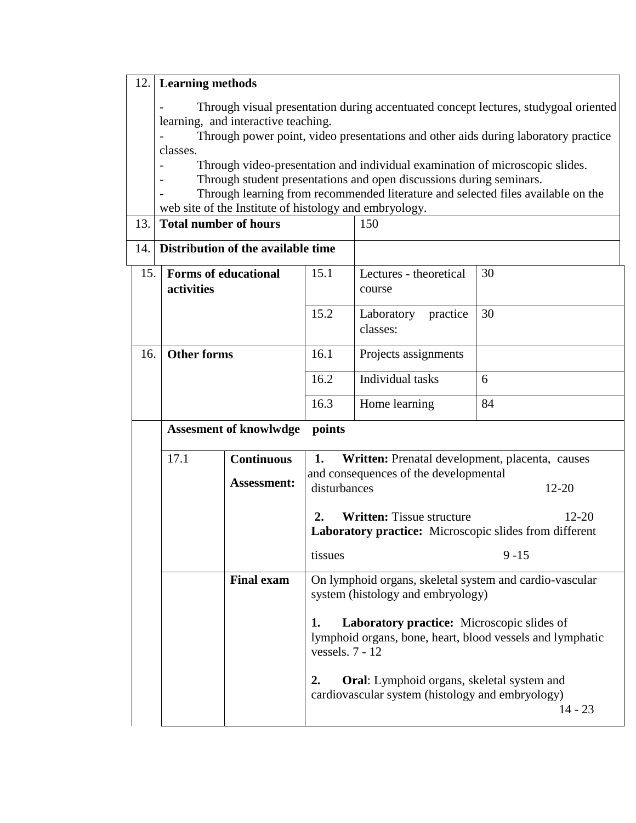## 12. **Learning methods**

- Through visual presentation during accentuated concept lectures, studygoal oriented learning, and interactive teaching.

- Through power point, video presentations and other aids during laboratory practice classes.

- Through video-presentation and individual examination of microscopic slides.

- Through student presentations and open discussions during seminars.

- Through learning from recommended literature and selected files available on the web site of the Institute of histology and embryology.<br> **Total number of hours** 13. **Total number of hours** 

| IJ. | TOM HUMMEL OF HOMES                              |                                    | 1 J V                                                                                                                                            |                                                                     |           |  |
|-----|--------------------------------------------------|------------------------------------|--------------------------------------------------------------------------------------------------------------------------------------------------|---------------------------------------------------------------------|-----------|--|
| 14. |                                                  | Distribution of the available time |                                                                                                                                                  |                                                                     |           |  |
|     | 15.<br><b>Forms of educational</b><br>activities |                                    | 15.1                                                                                                                                             | Lectures - theoretical<br>course                                    | 30        |  |
|     |                                                  |                                    | 15.2                                                                                                                                             | Laboratory<br>practice<br>classes:                                  | 30        |  |
|     | <b>Other forms</b><br>16.                        |                                    | 16.1                                                                                                                                             | Projects assignments                                                |           |  |
|     |                                                  |                                    | 16.2                                                                                                                                             | Individual tasks                                                    | 6         |  |
|     |                                                  | 16.3                               |                                                                                                                                                  | Home learning                                                       | 84        |  |
|     |                                                  | <b>Assesment of knowlwdge</b>      | points                                                                                                                                           |                                                                     |           |  |
|     | 17.1                                             | <b>Continuous</b>                  | 1.<br>Written: Prenatal development, placenta, causes                                                                                            |                                                                     |           |  |
|     |                                                  | <b>Assessment:</b>                 | disturbances                                                                                                                                     | and consequences of the developmental                               | $12 - 20$ |  |
|     |                                                  |                                    | 2.<br><b>Written:</b> Tissue structure                                                                                                           | $12 - 20$<br>Laboratory practice: Microscopic slides from different |           |  |
|     |                                                  |                                    | tissues                                                                                                                                          |                                                                     | $9 - 15$  |  |
|     |                                                  | <b>Final exam</b>                  | On lymphoid organs, skeletal system and cardio-vascular<br>system (histology and embryology)<br>Laboratory practice: Microscopic slides of<br>1. |                                                                     |           |  |
|     |                                                  |                                    | lymphoid organs, bone, heart, blood vessels and lymphatic<br>vessels. $7 - 12$                                                                   |                                                                     |           |  |
|     |                                                  |                                    | Oral: Lymphoid organs, skeletal system and<br>2.<br>cardiovascular system (histology and embryology)<br>$14 - 23$                                |                                                                     |           |  |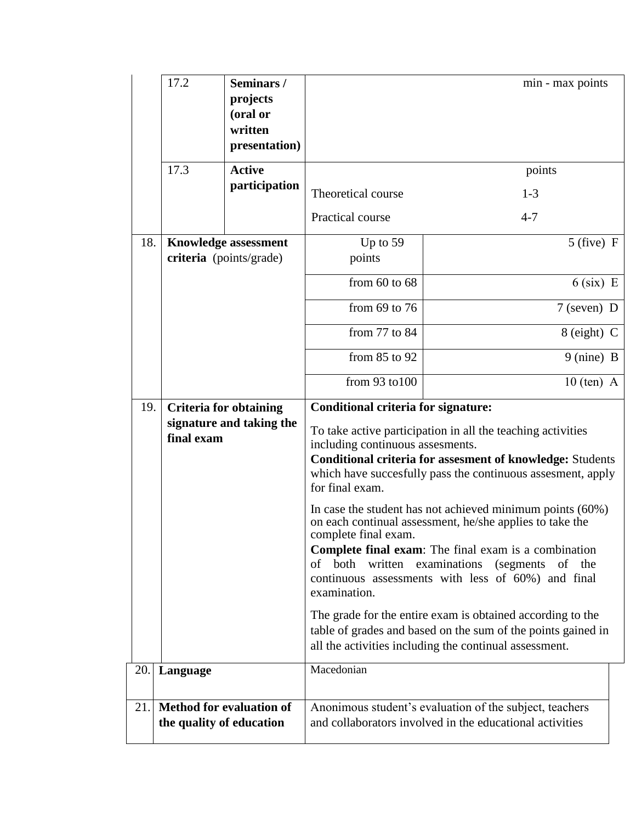|            | 17.2                                                                                                                                                                                                                                                                                                                                                                                                                                                                                                                                                                                                                                                                                                                                                                                                                                                                                                   | Seminars/<br>projects<br>(oral or<br>written<br>presentation) |                      | min - max points                                                                                                    |  |
|------------|--------------------------------------------------------------------------------------------------------------------------------------------------------------------------------------------------------------------------------------------------------------------------------------------------------------------------------------------------------------------------------------------------------------------------------------------------------------------------------------------------------------------------------------------------------------------------------------------------------------------------------------------------------------------------------------------------------------------------------------------------------------------------------------------------------------------------------------------------------------------------------------------------------|---------------------------------------------------------------|----------------------|---------------------------------------------------------------------------------------------------------------------|--|
|            | 17.3                                                                                                                                                                                                                                                                                                                                                                                                                                                                                                                                                                                                                                                                                                                                                                                                                                                                                                   | <b>Active</b>                                                 |                      | points                                                                                                              |  |
|            |                                                                                                                                                                                                                                                                                                                                                                                                                                                                                                                                                                                                                                                                                                                                                                                                                                                                                                        | participation                                                 | Theoretical course   | $1 - 3$                                                                                                             |  |
|            |                                                                                                                                                                                                                                                                                                                                                                                                                                                                                                                                                                                                                                                                                                                                                                                                                                                                                                        |                                                               | Practical course     | $4 - 7$                                                                                                             |  |
| 18.        | <b>Knowledge assessment</b><br>criteria (points/grade)                                                                                                                                                                                                                                                                                                                                                                                                                                                                                                                                                                                                                                                                                                                                                                                                                                                 |                                                               | Up to $59$<br>points | $5$ (five) F                                                                                                        |  |
|            |                                                                                                                                                                                                                                                                                                                                                                                                                                                                                                                                                                                                                                                                                                                                                                                                                                                                                                        |                                                               | from $60$ to $68$    | $6$ (six) E                                                                                                         |  |
|            |                                                                                                                                                                                                                                                                                                                                                                                                                                                                                                                                                                                                                                                                                                                                                                                                                                                                                                        |                                                               | from $69$ to $76$    | $7$ (seven) D                                                                                                       |  |
|            |                                                                                                                                                                                                                                                                                                                                                                                                                                                                                                                                                                                                                                                                                                                                                                                                                                                                                                        |                                                               | from 77 to 84        | $8$ (eight) C                                                                                                       |  |
|            |                                                                                                                                                                                                                                                                                                                                                                                                                                                                                                                                                                                                                                                                                                                                                                                                                                                                                                        |                                                               | from 85 to 92        | $9 \text{ (nine)} B$                                                                                                |  |
|            |                                                                                                                                                                                                                                                                                                                                                                                                                                                                                                                                                                                                                                                                                                                                                                                                                                                                                                        |                                                               | from 93 to 100       | $10$ (ten) A                                                                                                        |  |
|            | 19.<br><b>Criteria for obtaining</b><br><b>Conditional criteria for signature:</b><br>signature and taking the<br>To take active participation in all the teaching activities<br>final exam<br>including continuous assesments.<br><b>Conditional criteria for assesment of knowledge: Students</b><br>which have succesfully pass the continuous assesment, apply<br>for final exam.<br>In case the student has not achieved minimum points (60%)<br>on each continual assessment, he/she applies to take the<br>complete final exam.<br><b>Complete final exam:</b> The final exam is a combination<br>of both<br>written examinations<br>continuous assessments with less of 60%) and final<br>examination.<br>The grade for the entire exam is obtained according to the<br>table of grades and based on the sum of the points gained in<br>all the activities including the continual assessment. |                                                               | (segments of the     |                                                                                                                     |  |
| 20.<br>21. | Language<br>the quality of education                                                                                                                                                                                                                                                                                                                                                                                                                                                                                                                                                                                                                                                                                                                                                                                                                                                                   | <b>Method for evaluation of</b>                               | Macedonian           | Anonimous student's evaluation of the subject, teachers<br>and collaborators involved in the educational activities |  |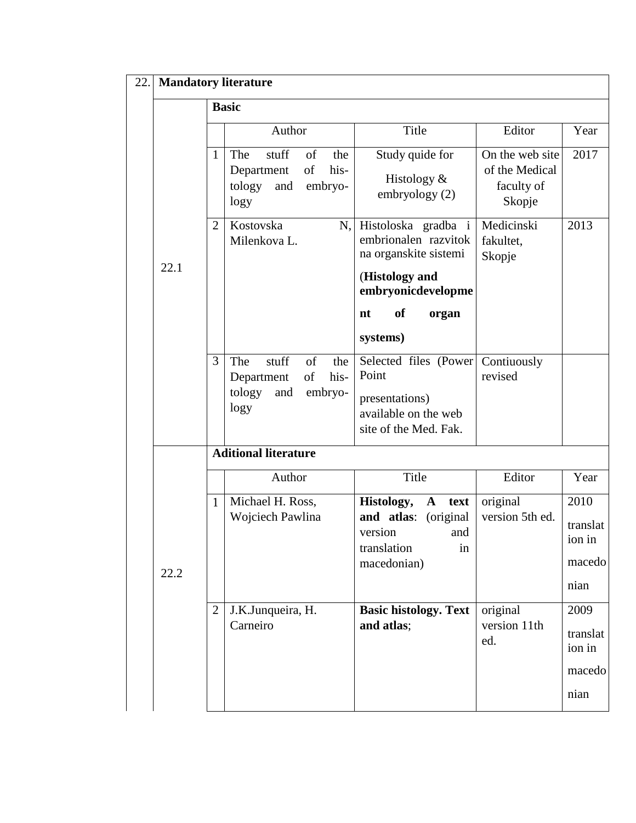| 22. | <b>Mandatory literature</b> |                             |                                                                                           |                                                                                                                                                      |                                                           |                                              |  |  |  |
|-----|-----------------------------|-----------------------------|-------------------------------------------------------------------------------------------|------------------------------------------------------------------------------------------------------------------------------------------------------|-----------------------------------------------------------|----------------------------------------------|--|--|--|
|     |                             | <b>Basic</b>                |                                                                                           |                                                                                                                                                      |                                                           |                                              |  |  |  |
|     | 22.1                        |                             | Author                                                                                    | Title                                                                                                                                                | Editor                                                    | Year                                         |  |  |  |
|     |                             | 1                           | The<br>stuff<br>of<br>the<br>his-<br>of<br>Department<br>tology<br>and<br>embryo-<br>logy | Study quide for<br>Histology $&$<br>embryology (2)                                                                                                   | On the web site<br>of the Medical<br>faculty of<br>Skopje | 2017                                         |  |  |  |
|     |                             | $\overline{2}$              | Kostovska<br>N,<br>Milenkova L.                                                           | Histoloska gradba i<br>embrionalen razvitok<br>na organskite sistemi<br>(Histology and<br>embryonicdevelopme<br><b>of</b><br>nt<br>organ<br>systems) | Medicinski<br>fakultet,<br>Skopje                         | 2013                                         |  |  |  |
|     |                             | 3                           | stuff<br>of<br>The<br>the<br>of<br>his-<br>Department<br>tology<br>and<br>embryo-<br>logy | Selected files (Power)<br>Point<br>presentations)<br>available on the web<br>site of the Med. Fak.                                                   | Contiuously<br>revised                                    |                                              |  |  |  |
|     |                             | <b>Aditional literature</b> |                                                                                           |                                                                                                                                                      |                                                           |                                              |  |  |  |
|     |                             |                             | Author                                                                                    | Title                                                                                                                                                | Editor                                                    | Year                                         |  |  |  |
|     | 22.2                        | $\mathbf{1}$                | Michael H. Ross,<br>Wojciech Pawlina                                                      | Histology,<br>$\mathbf{A}$<br>text<br>and atlas: (original<br>version<br>and<br>translation<br>in<br>macedonian)                                     | original<br>version 5th ed.                               | 2010<br>translat<br>ion in<br>macedo<br>nian |  |  |  |
|     |                             | $\overline{2}$              | J.K.Junqueira, H.<br>Carneiro                                                             | <b>Basic histology. Text</b><br>and atlas;                                                                                                           | original<br>version 11th<br>ed.                           | 2009<br>translat<br>ion in<br>macedo<br>nian |  |  |  |
|     |                             |                             |                                                                                           |                                                                                                                                                      |                                                           |                                              |  |  |  |